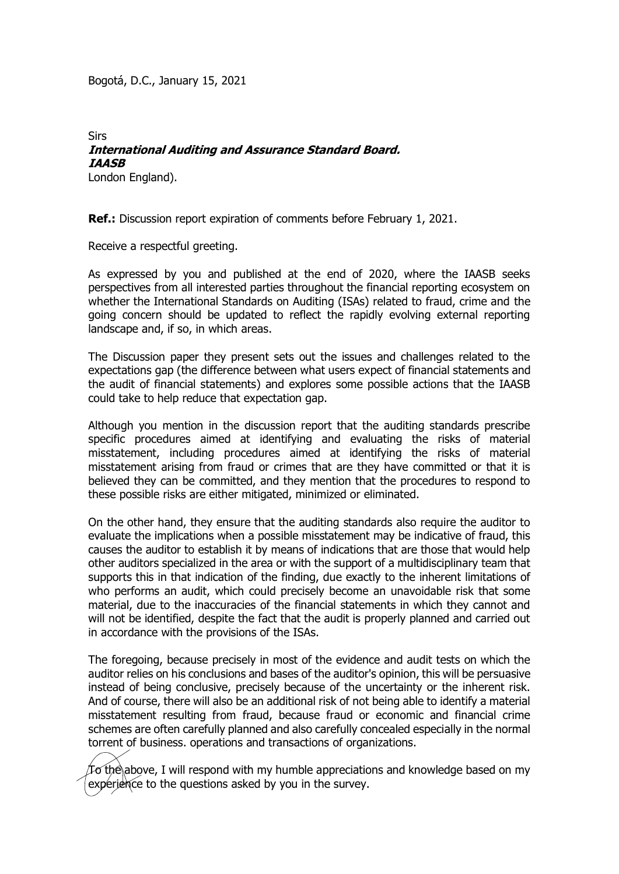Bogotá, D.C., January 15, 2021

## **Sirs International Auditing and Assurance Standard Board. IAASB**

London England).

**Ref.:** Discussion report expiration of comments before February 1, 2021.

Receive a respectful greeting.

As expressed by you and published at the end of 2020, where the IAASB seeks perspectives from all interested parties throughout the financial reporting ecosystem on whether the International Standards on Auditing (ISAs) related to fraud, crime and the going concern should be updated to reflect the rapidly evolving external reporting landscape and, if so, in which areas.

The Discussion paper they present sets out the issues and challenges related to the expectations gap (the difference between what users expect of financial statements and the audit of financial statements) and explores some possible actions that the IAASB could take to help reduce that expectation gap.

Although you mention in the discussion report that the auditing standards prescribe specific procedures aimed at identifying and evaluating the risks of material misstatement, including procedures aimed at identifying the risks of material misstatement arising from fraud or crimes that are they have committed or that it is believed they can be committed, and they mention that the procedures to respond to these possible risks are either mitigated, minimized or eliminated.

On the other hand, they ensure that the auditing standards also require the auditor to evaluate the implications when a possible misstatement may be indicative of fraud, this causes the auditor to establish it by means of indications that are those that would help other auditors specialized in the area or with the support of a multidisciplinary team that supports this in that indication of the finding, due exactly to the inherent limitations of who performs an audit, which could precisely become an unavoidable risk that some material, due to the inaccuracies of the financial statements in which they cannot and will not be identified, despite the fact that the audit is properly planned and carried out in accordance with the provisions of the ISAs.

The foregoing, because precisely in most of the evidence and audit tests on which the auditor relies on his conclusions and bases of the auditor's opinion, this will be persuasive instead of being conclusive, precisely because of the uncertainty or the inherent risk. And of course, there will also be an additional risk of not being able to identify a material misstatement resulting from fraud, because fraud or economic and financial crime schemes are often carefully planned and also carefully concealed especially in the normal torrent of business. operations and transactions of organizations.

 $\tau$ o the above, I will respond with my humble appreciations and knowledge based on my experience to the questions asked by you in the survey.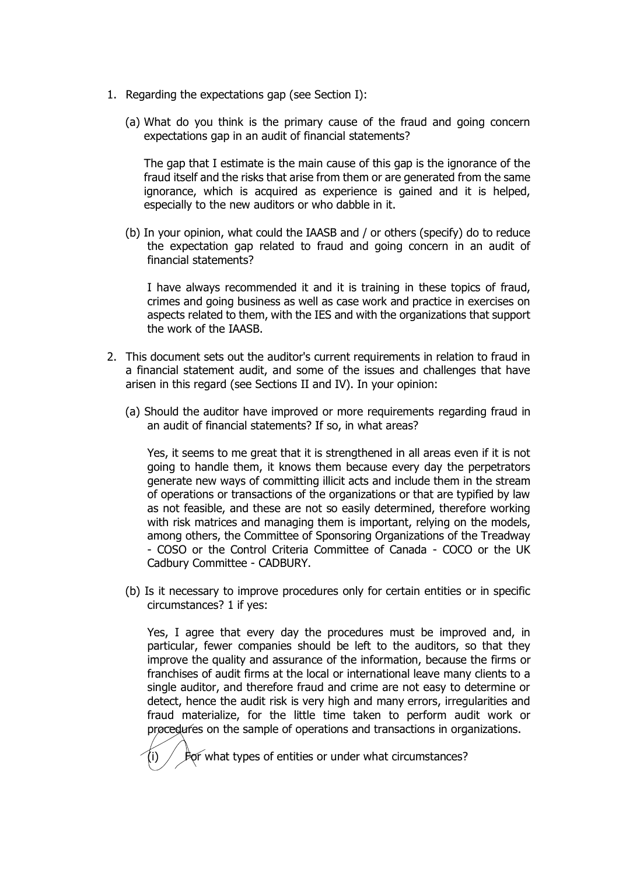- 1. Regarding the expectations gap (see Section I):
	- (a) What do you think is the primary cause of the fraud and going concern expectations gap in an audit of financial statements?

The gap that I estimate is the main cause of this gap is the ignorance of the fraud itself and the risks that arise from them or are generated from the same ignorance, which is acquired as experience is gained and it is helped, especially to the new auditors or who dabble in it.

(b) In your opinion, what could the IAASB and / or others (specify) do to reduce the expectation gap related to fraud and going concern in an audit of financial statements?

I have always recommended it and it is training in these topics of fraud, crimes and going business as well as case work and practice in exercises on aspects related to them, with the IES and with the organizations that support the work of the IAASB.

- 2. This document sets out the auditor's current requirements in relation to fraud in a financial statement audit, and some of the issues and challenges that have arisen in this regard (see Sections II and IV). In your opinion:
	- (a) Should the auditor have improved or more requirements regarding fraud in an audit of financial statements? If so, in what areas?

Yes, it seems to me great that it is strengthened in all areas even if it is not going to handle them, it knows them because every day the perpetrators generate new ways of committing illicit acts and include them in the stream of operations or transactions of the organizations or that are typified by law as not feasible, and these are not so easily determined, therefore working with risk matrices and managing them is important, relying on the models, among others, the Committee of Sponsoring Organizations of the Treadway - COSO or the Control Criteria Committee of Canada - COCO or the UK Cadbury Committee - CADBURY.

(b) Is it necessary to improve procedures only for certain entities or in specific circumstances? 1 if yes:

Yes, I agree that every day the procedures must be improved and, in particular, fewer companies should be left to the auditors, so that they improve the quality and assurance of the information, because the firms or franchises of audit firms at the local or international leave many clients to a single auditor, and therefore fraud and crime are not easy to determine or detect, hence the audit risk is very high and many errors, irregularities and fraud materialize, for the little time taken to perform audit work or procedures on the sample of operations and transactions in organizations.

For what types of entities or under what circumstances?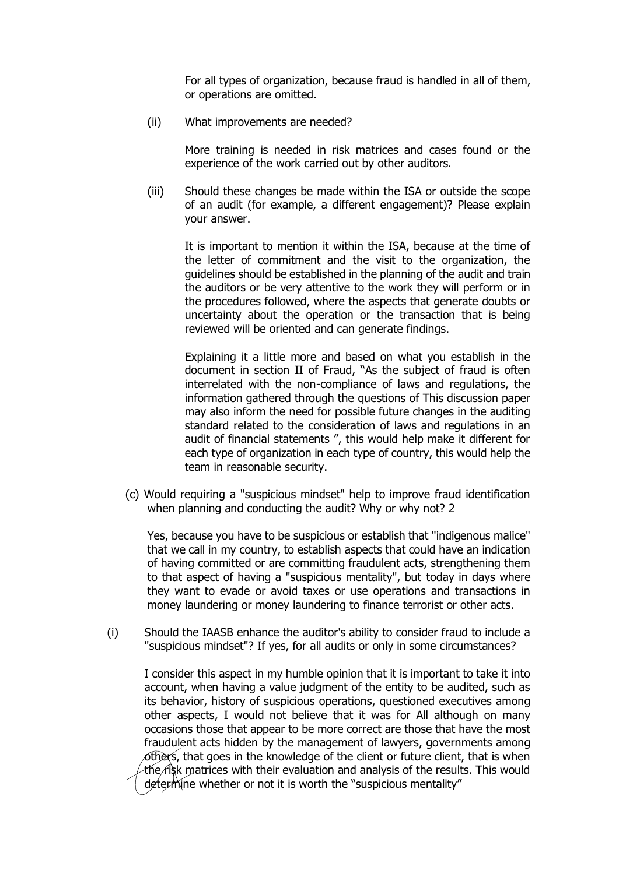For all types of organization, because fraud is handled in all of them, or operations are omitted.

(ii) What improvements are needed?

More training is needed in risk matrices and cases found or the experience of the work carried out by other auditors.

(iii) Should these changes be made within the ISA or outside the scope of an audit (for example, a different engagement)? Please explain your answer.

It is important to mention it within the ISA, because at the time of the letter of commitment and the visit to the organization, the guidelines should be established in the planning of the audit and train the auditors or be very attentive to the work they will perform or in the procedures followed, where the aspects that generate doubts or uncertainty about the operation or the transaction that is being reviewed will be oriented and can generate findings.

Explaining it a little more and based on what you establish in the document in section II of Fraud, "As the subject of fraud is often interrelated with the non-compliance of laws and regulations, the information gathered through the questions of This discussion paper may also inform the need for possible future changes in the auditing standard related to the consideration of laws and regulations in an audit of financial statements ", this would help make it different for each type of organization in each type of country, this would help the team in reasonable security.

(c) Would requiring a "suspicious mindset" help to improve fraud identification when planning and conducting the audit? Why or why not? 2

Yes, because you have to be suspicious or establish that "indigenous malice" that we call in my country, to establish aspects that could have an indication of having committed or are committing fraudulent acts, strengthening them to that aspect of having a "suspicious mentality", but today in days where they want to evade or avoid taxes or use operations and transactions in money laundering or money laundering to finance terrorist or other acts.

(i) Should the IAASB enhance the auditor's ability to consider fraud to include a "suspicious mindset"? If yes, for all audits or only in some circumstances?

I consider this aspect in my humble opinion that it is important to take it into account, when having a value judgment of the entity to be audited, such as its behavior, history of suspicious operations, questioned executives among other aspects, I would not believe that it was for All although on many occasions those that appear to be more correct are those that have the most fraudulent acts hidden by the management of lawyers, governments among others, that goes in the knowledge of the client or future client, that is when the  $r$ isk matrices with their evaluation and analysis of the results. This would determine whether or not it is worth the "suspicious mentality"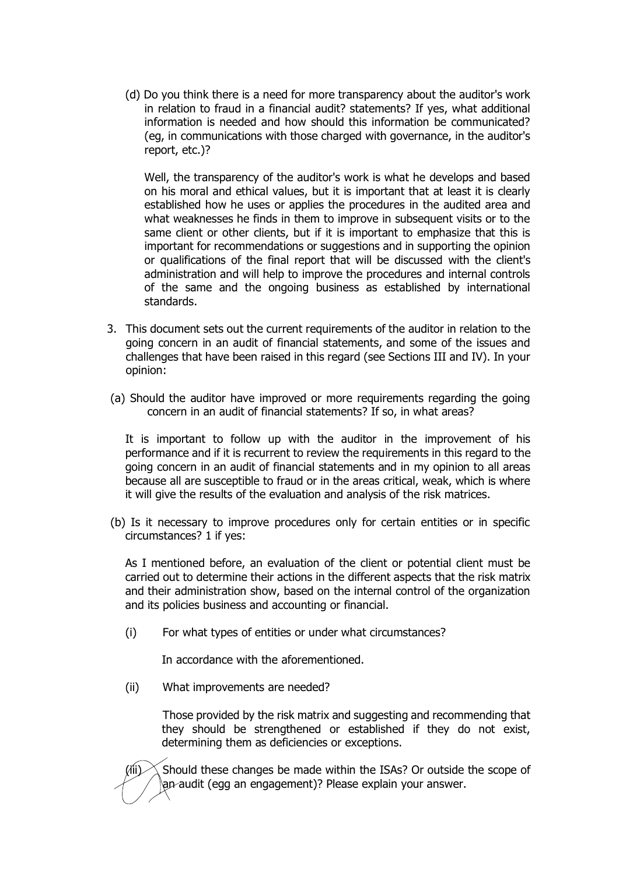(d) Do you think there is a need for more transparency about the auditor's work in relation to fraud in a financial audit? statements? If yes, what additional information is needed and how should this information be communicated? (eg, in communications with those charged with governance, in the auditor's report, etc.)?

Well, the transparency of the auditor's work is what he develops and based on his moral and ethical values, but it is important that at least it is clearly established how he uses or applies the procedures in the audited area and what weaknesses he finds in them to improve in subsequent visits or to the same client or other clients, but if it is important to emphasize that this is important for recommendations or suggestions and in supporting the opinion or qualifications of the final report that will be discussed with the client's administration and will help to improve the procedures and internal controls of the same and the ongoing business as established by international standards.

- 3. This document sets out the current requirements of the auditor in relation to the going concern in an audit of financial statements, and some of the issues and challenges that have been raised in this regard (see Sections III and IV). In your opinion:
- (a) Should the auditor have improved or more requirements regarding the going concern in an audit of financial statements? If so, in what areas?

It is important to follow up with the auditor in the improvement of his performance and if it is recurrent to review the requirements in this regard to the going concern in an audit of financial statements and in my opinion to all areas because all are susceptible to fraud or in the areas critical, weak, which is where it will give the results of the evaluation and analysis of the risk matrices.

(b) Is it necessary to improve procedures only for certain entities or in specific circumstances? 1 if yes:

As I mentioned before, an evaluation of the client or potential client must be carried out to determine their actions in the different aspects that the risk matrix and their administration show, based on the internal control of the organization and its policies business and accounting or financial.

(i) For what types of entities or under what circumstances?

In accordance with the aforementioned.

(ii) What improvements are needed?

Those provided by the risk matrix and suggesting and recommending that they should be strengthened or established if they do not exist, determining them as deficiencies or exceptions.

(iii)  $\chi$  Should these changes be made within the ISAs? Or outside the scope of an audit (egg an engagement)? Please explain your answer.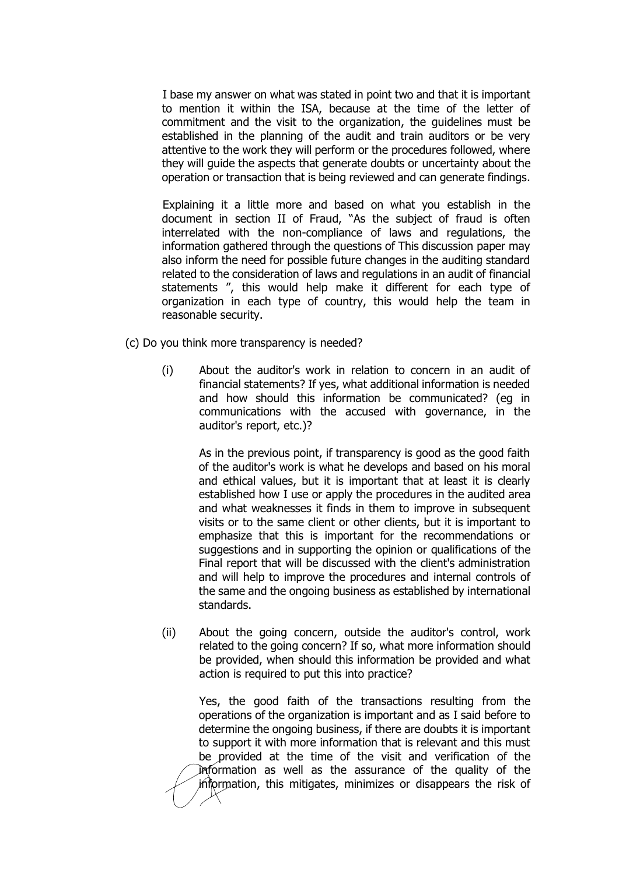I base my answer on what was stated in point two and that it is important to mention it within the ISA, because at the time of the letter of commitment and the visit to the organization, the guidelines must be established in the planning of the audit and train auditors or be very attentive to the work they will perform or the procedures followed, where they will guide the aspects that generate doubts or uncertainty about the operation or transaction that is being reviewed and can generate findings.

Explaining it a little more and based on what you establish in the document in section II of Fraud, "As the subject of fraud is often interrelated with the non-compliance of laws and regulations, the information gathered through the questions of This discussion paper may also inform the need for possible future changes in the auditing standard related to the consideration of laws and regulations in an audit of financial statements ", this would help make it different for each type of organization in each type of country, this would help the team in reasonable security.

- (c) Do you think more transparency is needed?
	- (i) About the auditor's work in relation to concern in an audit of financial statements? If yes, what additional information is needed and how should this information be communicated? (eg in communications with the accused with governance, in the auditor's report, etc.)?

As in the previous point, if transparency is good as the good faith of the auditor's work is what he develops and based on his moral and ethical values, but it is important that at least it is clearly established how I use or apply the procedures in the audited area and what weaknesses it finds in them to improve in subsequent visits or to the same client or other clients, but it is important to emphasize that this is important for the recommendations or suggestions and in supporting the opinion or qualifications of the Final report that will be discussed with the client's administration and will help to improve the procedures and internal controls of the same and the ongoing business as established by international standards.

(ii) About the going concern, outside the auditor's control, work related to the going concern? If so, what more information should be provided, when should this information be provided and what action is required to put this into practice?

Yes, the good faith of the transactions resulting from the operations of the organization is important and as I said before to determine the ongoing business, if there are doubts it is important to support it with more information that is relevant and this must be provided at the time of the visit and verification of the information as well as the assurance of the quality of the information, this mitigates, minimizes or disappears the risk of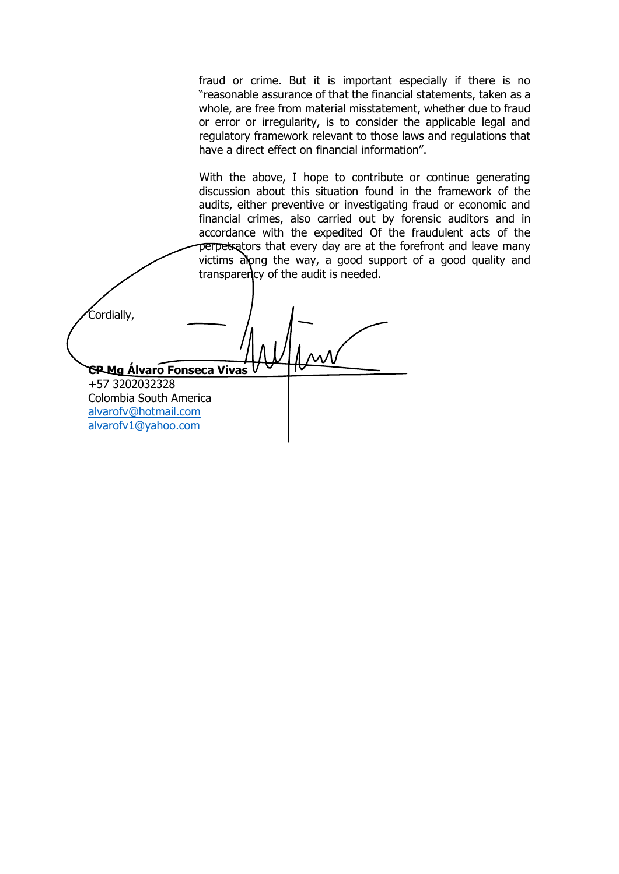fraud or crime. But it is important especially if there is no "reasonable assurance of that the financial statements, taken as a whole, are free from material misstatement, whether due to fraud or error or irregularity, is to consider the applicable legal and regulatory framework relevant to those laws and regulations that have a direct effect on financial information".

With the above. I hope to contribute or continue generating discussion about this situation found in the framework of the audits, either preventive or investigating fraud or economic and financial crimes, also carried out by forensic auditors and in accordance with the expedited Of the fraudulent acts of the perpetrators that every day are at the forefront and leave many victims along the way, a good support of a good quality and transparency of the audit is needed.

Cordially, **CP Mg Álvaro Fonseca Vivas** +57 3202032328 Colombia South America [alvarofv@hotmail.com](mailto:alvarofv@hotmail.com) [alvarofv1@yahoo.com](mailto:alvarofv1@yahoo.com)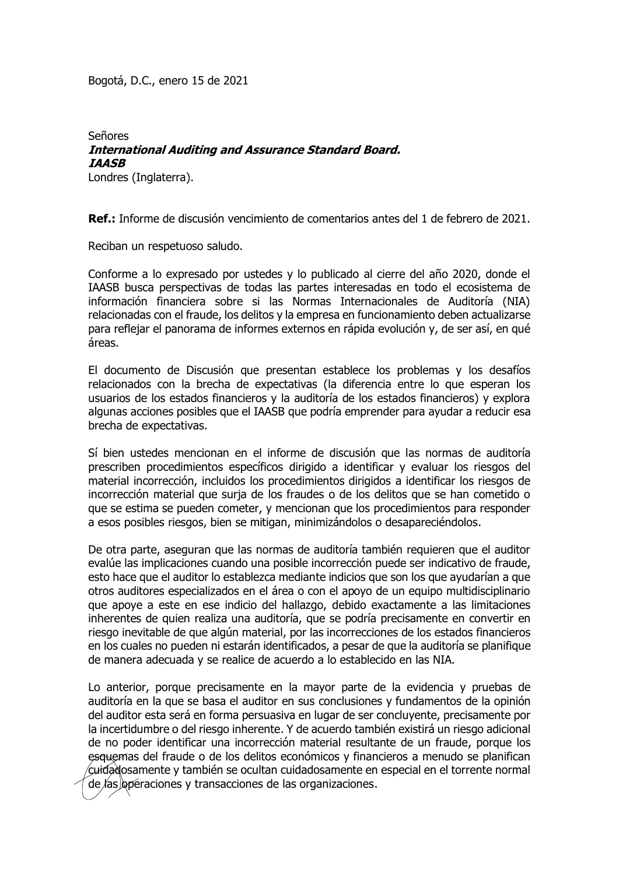Bogotá, D.C., enero 15 de 2021

## Señores **International Auditing and Assurance Standard Board. IAASB**

Londres (Inglaterra).

**Ref.:** Informe de discusión vencimiento de comentarios antes del 1 de febrero de 2021.

Reciban un respetuoso saludo.

Conforme a lo expresado por ustedes y lo publicado al cierre del año 2020, donde el IAASB busca perspectivas de todas las partes interesadas en todo el ecosistema de información financiera sobre si las Normas Internacionales de Auditoría (NIA) relacionadas con el fraude, los delitos y la empresa en funcionamiento deben actualizarse para reflejar el panorama de informes externos en rápida evolución y, de ser así, en qué áreas.

El documento de Discusión que presentan establece los problemas y los desafíos relacionados con la brecha de expectativas (la diferencia entre lo que esperan los usuarios de los estados financieros y la auditoría de los estados financieros) y explora algunas acciones posibles que el IAASB que podría emprender para ayudar a reducir esa brecha de expectativas.

Sí bien ustedes mencionan en el informe de discusión que las normas de auditoría prescriben procedimientos específicos dirigido a identificar y evaluar los riesgos del material incorrección, incluidos los procedimientos dirigidos a identificar los riesgos de incorrección material que surja de los fraudes o de los delitos que se han cometido o que se estima se pueden cometer, y mencionan que los procedimientos para responder a esos posibles riesgos, bien se mitigan, minimizándolos o desapareciéndolos.

De otra parte, aseguran que las normas de auditoría también requieren que el auditor evalúe las implicaciones cuando una posible incorrección puede ser indicativo de fraude, esto hace que el auditor lo establezca mediante indicios que son los que ayudarían a que otros auditores especializados en el área o con el apoyo de un equipo multidisciplinario que apoye a este en ese indicio del hallazgo, debido exactamente a las limitaciones inherentes de quien realiza una auditoría, que se podría precisamente en convertir en riesgo inevitable de que algún material, por las incorrecciones de los estados financieros en los cuales no pueden ni estarán identificados, a pesar de que la auditoría se planifique de manera adecuada y se realice de acuerdo a lo establecido en las NIA.

Lo anterior, porque precisamente en la mayor parte de la evidencia y pruebas de auditoría en la que se basa el auditor en sus conclusiones y fundamentos de la opinión del auditor esta será en forma persuasiva en lugar de ser concluyente, precisamente por la incertidumbre o del riesgo inherente. Y de acuerdo también existirá un riesgo adicional de no poder identificar una incorrección material resultante de un fraude, porque los esquemas del fraude o de los delitos económicos y financieros a menudo se planifican cuidadosamente y también se ocultan cuidadosamente en especial en el torrente normal de las operaciones y transacciones de las organizaciones.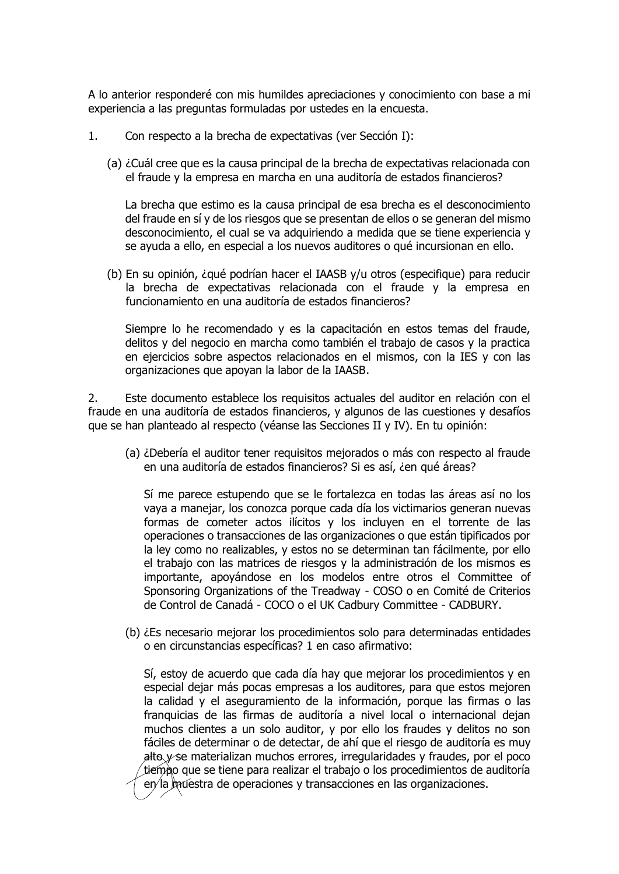A lo anterior responderé con mis humildes apreciaciones y conocimiento con base a mi experiencia a las preguntas formuladas por ustedes en la encuesta.

- 1. Con respecto a la brecha de expectativas (ver Sección I):
	- (a) ¿Cuál cree que es la causa principal de la brecha de expectativas relacionada con el fraude y la empresa en marcha en una auditoría de estados financieros?

La brecha que estimo es la causa principal de esa brecha es el desconocimiento del fraude en sí y de los riesgos que se presentan de ellos o se generan del mismo desconocimiento, el cual se va adquiriendo a medida que se tiene experiencia y se ayuda a ello, en especial a los nuevos auditores o qué incursionan en ello.

(b) En su opinión, ¿qué podrían hacer el IAASB y/u otros (especifique) para reducir la brecha de expectativas relacionada con el fraude y la empresa en funcionamiento en una auditoría de estados financieros?

Siempre lo he recomendado y es la capacitación en estos temas del fraude, delitos y del negocio en marcha como también el trabajo de casos y la practica en ejercicios sobre aspectos relacionados en el mismos, con la IES y con las organizaciones que apoyan la labor de la IAASB.

2. Este documento establece los requisitos actuales del auditor en relación con el fraude en una auditoría de estados financieros, y algunos de las cuestiones y desafíos que se han planteado al respecto (véanse las Secciones II y IV). En tu opinión:

(a) ¿Debería el auditor tener requisitos mejorados o más con respecto al fraude en una auditoría de estados financieros? Si es así, ¿en qué áreas?

Sí me parece estupendo que se le fortalezca en todas las áreas así no los vaya a manejar, los conozca porque cada día los victimarios generan nuevas formas de cometer actos ilícitos y los incluyen en el torrente de las operaciones o transacciones de las organizaciones o que están tipificados por la ley como no realizables, y estos no se determinan tan fácilmente, por ello el trabajo con las matrices de riesgos y la administración de los mismos es importante, apoyándose en los modelos entre otros el Committee of Sponsoring Organizations of the Treadway - COSO o en Comité de Criterios de Control de Canadá - COCO o el UK Cadbury Committee - CADBURY.

(b) ¿Es necesario mejorar los procedimientos solo para determinadas entidades o en circunstancias específicas? 1 en caso afirmativo:

Sí, estoy de acuerdo que cada día hay que mejorar los procedimientos y en especial dejar más pocas empresas a los auditores, para que estos mejoren la calidad y el aseguramiento de la información, porque las firmas o las franquicias de las firmas de auditoría a nivel local o internacional dejan muchos clientes a un solo auditor, y por ello los fraudes y delitos no son fáciles de determinar o de detectar, de ahí que el riesgo de auditoría es muy alto  $\gamma$  se materializan muchos errores, irregularidades y fraudes, por el poco tiempo que se tiene para realizar el trabajo o los procedimientos de auditoría  $e\gamma$ la muestra de operaciones y transacciones en las organizaciones.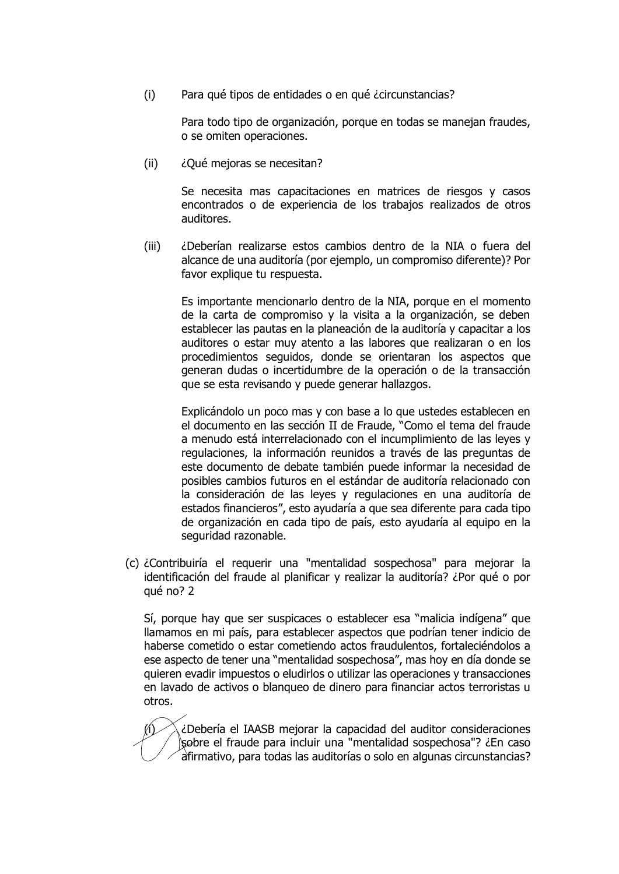(i) Para qué tipos de entidades o en qué ¿circunstancias?

Para todo tipo de organización, porque en todas se manejan fraudes, o se omiten operaciones.

(ii) ¿Qué mejoras se necesitan?

Se necesita mas capacitaciones en matrices de riesgos y casos encontrados o de experiencia de los trabajos realizados de otros auditores.

(iii) ¿Deberían realizarse estos cambios dentro de la NIA o fuera del alcance de una auditoría (por ejemplo, un compromiso diferente)? Por favor explique tu respuesta.

Es importante mencionarlo dentro de la NIA, porque en el momento de la carta de compromiso y la visita a la organización, se deben establecer las pautas en la planeación de la auditoría y capacitar a los auditores o estar muy atento a las labores que realizaran o en los procedimientos seguidos, donde se orientaran los aspectos que generan dudas o incertidumbre de la operación o de la transacción que se esta revisando y puede generar hallazgos.

Explicándolo un poco mas y con base a lo que ustedes establecen en el documento en las sección II de Fraude, "Como el tema del fraude a menudo está interrelacionado con el incumplimiento de las leyes y regulaciones, la información reunidos a través de las preguntas de este documento de debate también puede informar la necesidad de posibles cambios futuros en el estándar de auditoría relacionado con la consideración de las leyes y regulaciones en una auditoría de estados financieros", esto ayudaría a que sea diferente para cada tipo de organización en cada tipo de país, esto ayudaría al equipo en la seguridad razonable.

(c) ¿Contribuiría el requerir una "mentalidad sospechosa" para mejorar la identificación del fraude al planificar y realizar la auditoría? ¿Por qué o por qué no? 2

Sí, porque hay que ser suspicaces o establecer esa "malicia indígena" que llamamos en mi país, para establecer aspectos que podrían tener indicio de haberse cometido o estar cometiendo actos fraudulentos, fortaleciéndolos a ese aspecto de tener una "mentalidad sospechosa", mas hoy en día donde se quieren evadir impuestos o eludirlos o utilizar las operaciones y transacciones en lavado de activos o blanqueo de dinero para financiar actos terroristas u otros.

 $\langle i \rangle$  ¿Debería el IAASB mejorar la capacidad del auditor consideraciones sobre el fraude para incluir una "mentalidad sospechosa"? ¿En caso afirmativo, para todas las auditorías o solo en algunas circunstancias?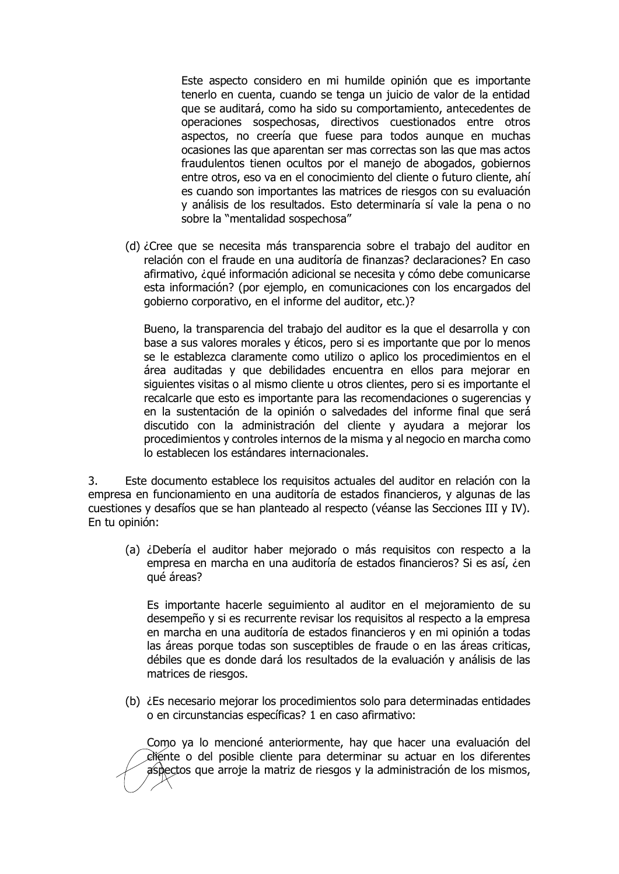Este aspecto considero en mi humilde opinión que es importante tenerlo en cuenta, cuando se tenga un juicio de valor de la entidad que se auditará, como ha sido su comportamiento, antecedentes de operaciones sospechosas, directivos cuestionados entre otros aspectos, no creería que fuese para todos aunque en muchas ocasiones las que aparentan ser mas correctas son las que mas actos fraudulentos tienen ocultos por el manejo de abogados, gobiernos entre otros, eso va en el conocimiento del cliente o futuro cliente, ahí es cuando son importantes las matrices de riesgos con su evaluación y análisis de los resultados. Esto determinaría sí vale la pena o no sobre la "mentalidad sospechosa"

(d) ¿Cree que se necesita más transparencia sobre el trabajo del auditor en relación con el fraude en una auditoría de finanzas? declaraciones? En caso afirmativo, ¿qué información adicional se necesita y cómo debe comunicarse esta información? (por ejemplo, en comunicaciones con los encargados del gobierno corporativo, en el informe del auditor, etc.)?

Bueno, la transparencia del trabajo del auditor es la que el desarrolla y con base a sus valores morales y éticos, pero si es importante que por lo menos se le establezca claramente como utilizo o aplico los procedimientos en el área auditadas y que debilidades encuentra en ellos para mejorar en siguientes visitas o al mismo cliente u otros clientes, pero si es importante el recalcarle que esto es importante para las recomendaciones o sugerencias y en la sustentación de la opinión o salvedades del informe final que será discutido con la administración del cliente y ayudara a mejorar los procedimientos y controles internos de la misma y al negocio en marcha como lo establecen los estándares internacionales.

3. Este documento establece los requisitos actuales del auditor en relación con la empresa en funcionamiento en una auditoría de estados financieros, y algunas de las cuestiones y desafíos que se han planteado al respecto (véanse las Secciones III y IV). En tu opinión:

(a) ¿Debería el auditor haber mejorado o más requisitos con respecto a la empresa en marcha en una auditoría de estados financieros? Si es así, ¿en qué áreas?

Es importante hacerle seguimiento al auditor en el mejoramiento de su desempeño y si es recurrente revisar los requisitos al respecto a la empresa en marcha en una auditoría de estados financieros y en mi opinión a todas las áreas porque todas son susceptibles de fraude o en las áreas criticas, débiles que es donde dará los resultados de la evaluación y análisis de las matrices de riesgos.

(b) ¿Es necesario mejorar los procedimientos solo para determinadas entidades o en circunstancias específicas? 1 en caso afirmativo:

Como ya lo mencioné anteriormente, hay que hacer una evaluación del cliente o del posible cliente para determinar su actuar en los diferentes aspectos que arroje la matriz de riesgos y la administración de los mismos,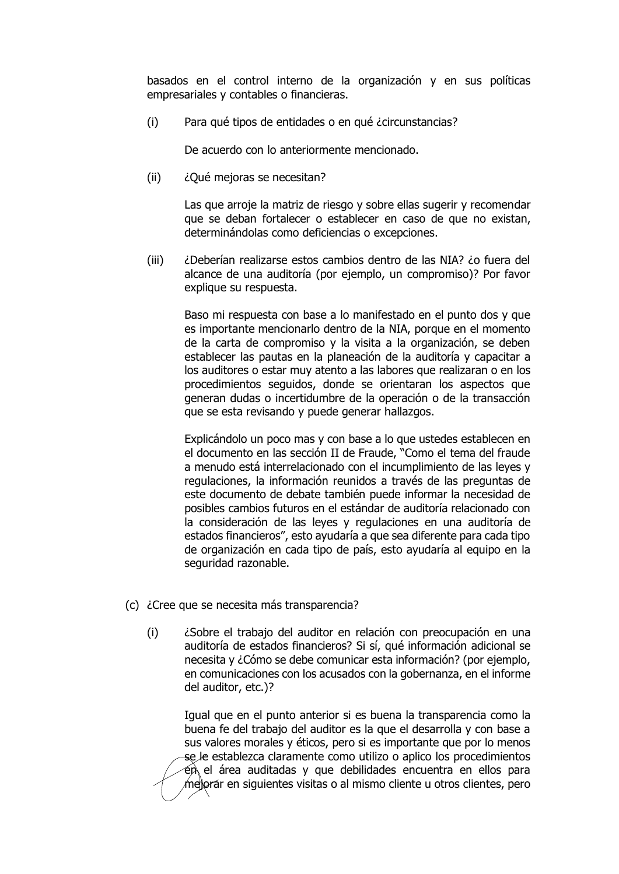basados en el control interno de la organización y en sus políticas empresariales y contables o financieras.

(i) Para qué tipos de entidades o en qué ¿circunstancias?

De acuerdo con lo anteriormente mencionado.

(ii) ¿Qué mejoras se necesitan?

Las que arroje la matriz de riesgo y sobre ellas sugerir y recomendar que se deban fortalecer o establecer en caso de que no existan, determinándolas como deficiencias o excepciones.

(iii) ¿Deberían realizarse estos cambios dentro de las NIA? ¿o fuera del alcance de una auditoría (por ejemplo, un compromiso)? Por favor explique su respuesta.

Baso mi respuesta con base a lo manifestado en el punto dos y que es importante mencionarlo dentro de la NIA, porque en el momento de la carta de compromiso y la visita a la organización, se deben establecer las pautas en la planeación de la auditoría y capacitar a los auditores o estar muy atento a las labores que realizaran o en los procedimientos seguidos, donde se orientaran los aspectos que generan dudas o incertidumbre de la operación o de la transacción que se esta revisando y puede generar hallazgos.

Explicándolo un poco mas y con base a lo que ustedes establecen en el documento en las sección II de Fraude, "Como el tema del fraude a menudo está interrelacionado con el incumplimiento de las leyes y regulaciones, la información reunidos a través de las preguntas de este documento de debate también puede informar la necesidad de posibles cambios futuros en el estándar de auditoría relacionado con la consideración de las leyes y regulaciones en una auditoría de estados financieros", esto ayudaría a que sea diferente para cada tipo de organización en cada tipo de país, esto ayudaría al equipo en la seguridad razonable.

- (c) ¿Cree que se necesita más transparencia?
	- (i) ¿Sobre el trabajo del auditor en relación con preocupación en una auditoría de estados financieros? Si sí, qué información adicional se necesita y ¿Cómo se debe comunicar esta información? (por ejemplo, en comunicaciones con los acusados con la gobernanza, en el informe del auditor, etc.)?

Igual que en el punto anterior si es buena la transparencia como la buena fe del trabajo del auditor es la que el desarrolla y con base a sus valores morales y éticos, pero si es importante que por lo menos se le establezca claramente como utilizo o aplico los procedimientos  $\epsilon$ n el área auditadas y que debilidades encuentra en ellos para mejorar en siguientes visitas o al mismo cliente u otros clientes, pero